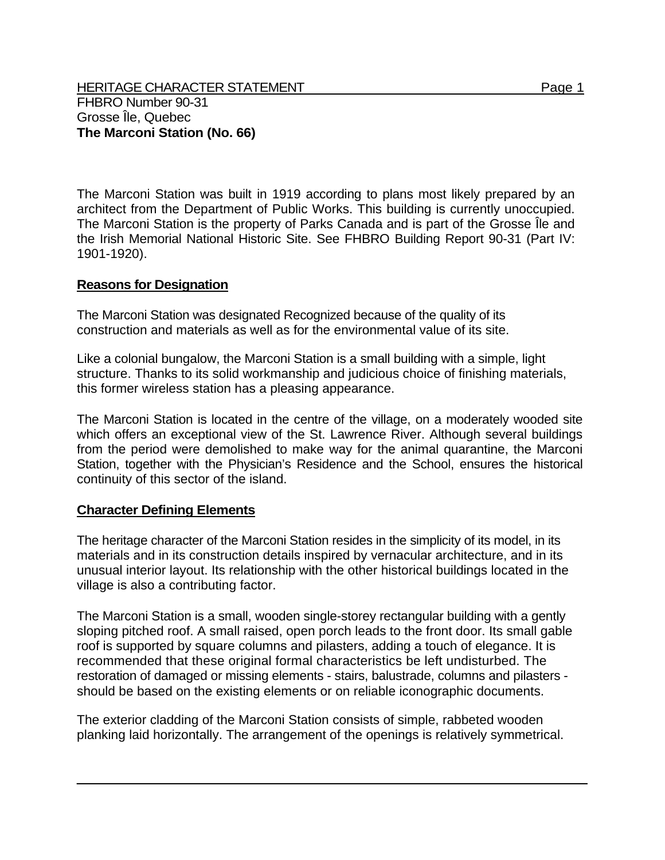HERITAGE CHARACTER STATEMENT FRIELD FOR A STATEMENT AND RAGE 1 FHBRO Number 90-31 Grosse Île, Quebec **The Marconi Station (No. 66)** 

The Marconi Station was built in 1919 according to plans most likely prepared by an architect from the Department of Public Works. This building is currently unoccupied. The Marconi Station is the property of Parks Canada and is part of the Grosse Île and the Irish Memorial National Historic Site. See FHBRO Building Report 90-31 (Part IV: 1901-1920).

## **Reasons for Designation**

The Marconi Station was designated Recognized because of the quality of its construction and materials as well as for the environmental value of its site.

Like a colonial bungalow, the Marconi Station is a small building with a simple, light structure. Thanks to its solid workmanship and judicious choice of finishing materials, this former wireless station has a pleasing appearance.

The Marconi Station is located in the centre of the village, on a moderately wooded site which offers an exceptional view of the St. Lawrence River. Although several buildings from the period were demolished to make way for the animal quarantine, the Marconi Station, together with the Physician's Residence and the School, ensures the historical continuity of this sector of the island.

## **Character Defining Elements**

The heritage character of the Marconi Station resides in the simplicity of its model, in its materials and in its construction details inspired by vernacular architecture, and in its unusual interior layout. Its relationship with the other historical buildings located in the village is also a contributing factor.

The Marconi Station is a small, wooden single-storey rectangular building with a gently sloping pitched roof. A small raised, open porch leads to the front door. Its small gable roof is supported by square columns and pilasters, adding a touch of elegance. It is recommended that these original formal characteristics be left undisturbed. The restoration of damaged or missing elements - stairs, balustrade, columns and pilasters should be based on the existing elements or on reliable iconographic documents.

The exterior cladding of the Marconi Station consists of simple, rabbeted wooden planking laid horizontally. The arrangement of the openings is relatively symmetrical.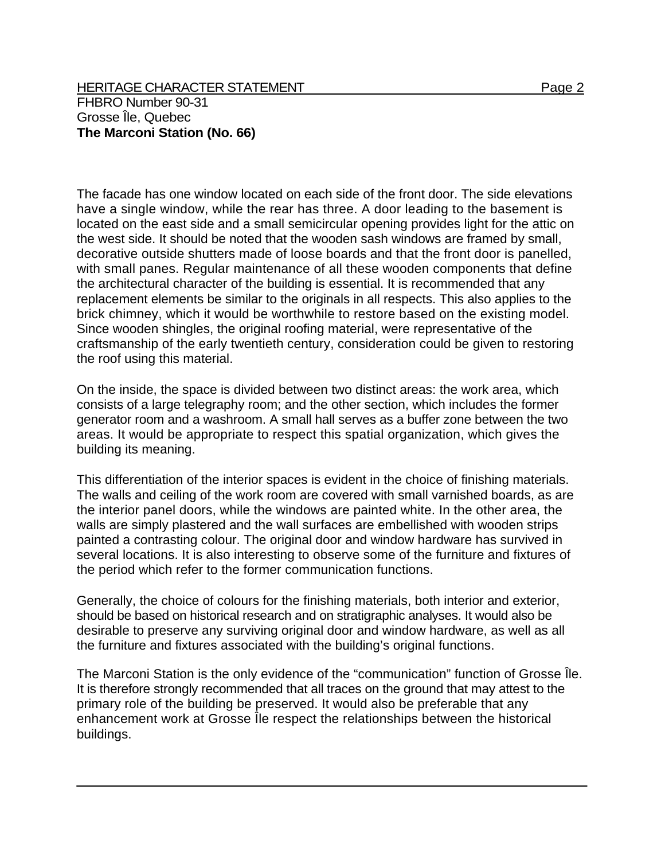The facade has one window located on each side of the front door. The side elevations have a single window, while the rear has three. A door leading to the basement is located on the east side and a small semicircular opening provides light for the attic on the west side. It should be noted that the wooden sash windows are framed by small, decorative outside shutters made of loose boards and that the front door is panelled, with small panes. Regular maintenance of all these wooden components that define the architectural character of the building is essential. It is recommended that any replacement elements be similar to the originals in all respects. This also applies to the brick chimney, which it would be worthwhile to restore based on the existing model. Since wooden shingles, the original roofing material, were representative of the craftsmanship of the early twentieth century, consideration could be given to restoring the roof using this material.

On the inside, the space is divided between two distinct areas: the work area, which consists of a large telegraphy room; and the other section, which includes the former generator room and a washroom. A small hall serves as a buffer zone between the two areas. It would be appropriate to respect this spatial organization, which gives the building its meaning.

This differentiation of the interior spaces is evident in the choice of finishing materials. The walls and ceiling of the work room are covered with small varnished boards, as are the interior panel doors, while the windows are painted white. In the other area, the walls are simply plastered and the wall surfaces are embellished with wooden strips painted a contrasting colour. The original door and window hardware has survived in several locations. It is also interesting to observe some of the furniture and fixtures of the period which refer to the former communication functions.

Generally, the choice of colours for the finishing materials, both interior and exterior, should be based on historical research and on stratigraphic analyses. It would also be desirable to preserve any surviving original door and window hardware, as well as all the furniture and fixtures associated with the building's original functions.

The Marconi Station is the only evidence of the "communication" function of Grosse Île. It is therefore strongly recommended that all traces on the ground that may attest to the primary role of the building be preserved. It would also be preferable that any enhancement work at Grosse Île respect the relationships between the historical buildings.